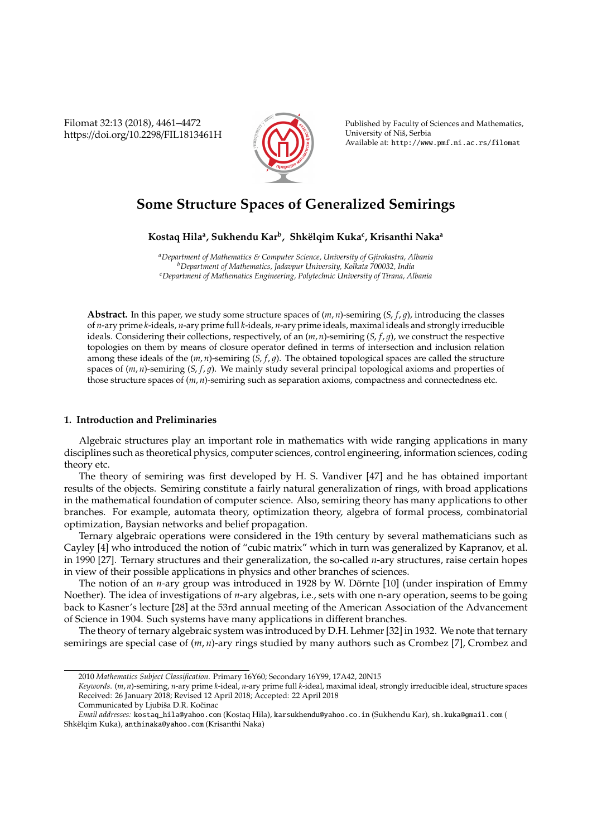Filomat 32:13 (2018), 4461–4472 https://doi.org/10.2298/FIL1813461H



Published by Faculty of Sciences and Mathematics, University of Niš, Serbia Available at: http://www.pmf.ni.ac.rs/filomat

# **Some Structure Spaces of Generalized Semirings**

**Kostaq Hila<sup>a</sup> , Sukhendu Kar<sup>b</sup> , Shk¨elqim Kuka<sup>c</sup> , Krisanthi Naka<sup>a</sup>**

*<sup>a</sup>Department of Mathematics & Computer Science, University of Gjirokastra, Albania <sup>b</sup>Department of Mathematics, Jadavpur University, Kolkata 700032, India <sup>c</sup>Department of Mathematics Engineering, Polytechnic University of Tirana, Albania*

**Abstract.** In this paper, we study some structure spaces of (*m*, *n*)-semiring (*S*, *f*, 1), introducing the classes of *n*-ary prime *k*-ideals, *n*-ary prime full *k*-ideals, *n*-ary prime ideals, maximal ideals and strongly irreducible ideals. Considering their collections, respectively, of an  $(m, n)$ -semiring  $(S, f, q)$ , we construct the respective topologies on them by means of closure operator defined in terms of intersection and inclusion relation among these ideals of the  $(m, n)$ -semiring  $(S, f, g)$ . The obtained topological spaces are called the structure spaces of  $(m, n)$ -semiring  $(S, f, g)$ . We mainly study several principal topological axioms and properties of those structure spaces of (*m*, *n*)-semiring such as separation axioms, compactness and connectedness etc.

## **1. Introduction and Preliminaries**

Algebraic structures play an important role in mathematics with wide ranging applications in many disciplines such as theoretical physics, computer sciences, control engineering, information sciences, coding theory etc.

The theory of semiring was first developed by H. S. Vandiver [47] and he has obtained important results of the objects. Semiring constitute a fairly natural generalization of rings, with broad applications in the mathematical foundation of computer science. Also, semiring theory has many applications to other branches. For example, automata theory, optimization theory, algebra of formal process, combinatorial optimization, Baysian networks and belief propagation.

Ternary algebraic operations were considered in the 19th century by several mathematicians such as Cayley [4] who introduced the notion of "cubic matrix" which in turn was generalized by Kapranov, et al. in 1990 [27]. Ternary structures and their generalization, the so-called *n*-ary structures, raise certain hopes in view of their possible applications in physics and other branches of sciences.

The notion of an *n*-ary group was introduced in 1928 by W. Dörnte [10] (under inspiration of Emmy Noether). The idea of investigations of *n*-ary algebras, i.e., sets with one n-ary operation, seems to be going back to Kasner's lecture [28] at the 53rd annual meeting of the American Association of the Advancement of Science in 1904. Such systems have many applications in different branches.

The theory of ternary algebraic system was introduced by D.H. Lehmer [32] in 1932. We note that ternary semirings are special case of (*m*, *n*)-ary rings studied by many authors such as Crombez [7], Crombez and

<sup>2010</sup> *Mathematics Subject Classification*. Primary 16Y60; Secondary 16Y99, 17A42, 20N15

*Keywords*. (*m*, *n*)-semiring, *n*-ary prime *k*-ideal, *n*-ary prime full *k*-ideal, maximal ideal, strongly irreducible ideal, structure spaces Received: 26 January 2018; Revised 12 April 2018; Accepted: 22 April 2018

Communicated by Ljubiša D.R. Kočinac

*Email addresses:* kostaq\_hila@yahoo.com (Kostaq Hila), karsukhendu@yahoo.co.in (Sukhendu Kar), sh.kuka@gmail.com ( Shkëlqim Kuka), anthinaka@yahoo.com (Krisanthi Naka)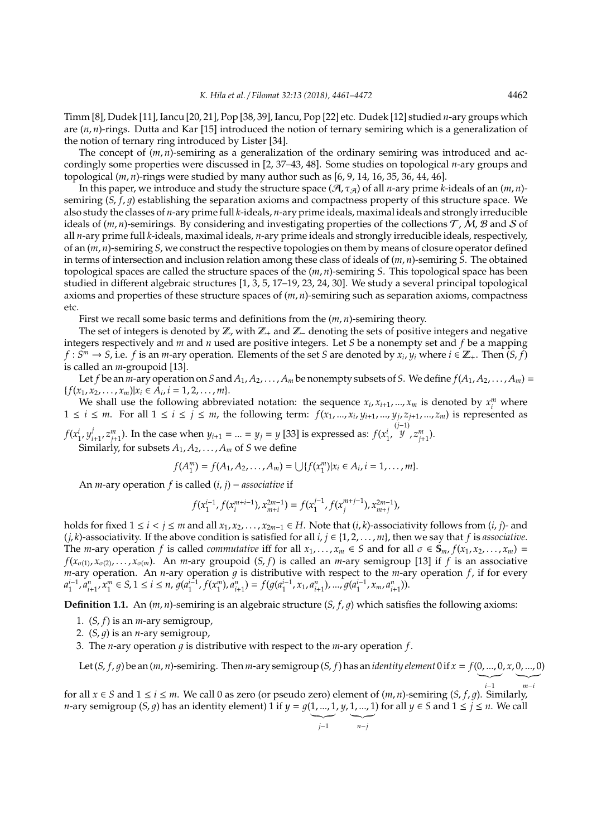Timm [8], Dudek [11], Iancu [20, 21], Pop [38, 39], Iancu, Pop [22] etc. Dudek [12] studied *n*-ary groups which are (*n*, *n*)-rings. Dutta and Kar [15] introduced the notion of ternary semiring which is a generalization of the notion of ternary ring introduced by Lister [34].

The concept of  $(m, n)$ -semiring as a generalization of the ordinary semiring was introduced and accordingly some properties were discussed in [2, 37–43, 48]. Some studies on topological *n*-ary groups and topological (*m*, *n*)-rings were studied by many author such as [6, 9, 14, 16, 35, 36, 44, 46].

In this paper, we introduce and study the structure space ( $A$ ,  $\tau_A$ ) of all *n*-ary prime *k*-ideals of an (*m*, *n*)semiring (*S*, *f*, *g*) establishing the separation axioms and compactness property of this structure space. We also study the classes of *n*-ary prime full *k*-ideals, *n*-ary prime ideals, maximal ideals and strongly irreducible ideals of  $(m, n)$ -semirings. By considering and investigating properties of the collections  $T$ , M, B and S of all *n*-ary prime full *k*-ideals, maximal ideals, *n*-ary prime ideals and strongly irreducible ideals, respectively, of an (*m*, *n*)-semiring *S*, we construct the respective topologies on them by means of closure operator defined in terms of intersection and inclusion relation among these class of ideals of (*m*, *n*)-semiring *S*. The obtained topological spaces are called the structure spaces of the (*m*, *n*)-semiring *S*. This topological space has been studied in different algebraic structures [1, 3, 5, 17–19, 23, 24, 30]. We study a several principal topological axioms and properties of these structure spaces of (*m*, *n*)-semiring such as separation axioms, compactness etc.

First we recall some basic terms and definitions from the (*m*, *n*)-semiring theory.

The set of integers is denoted by  $\mathbb{Z}$ , with  $\mathbb{Z}_+$  and  $\mathbb{Z}_-$  denoting the sets of positive integers and negative integers respectively and *m* and *n* used are positive integers. Let *S* be a nonempty set and *f* be a mapping  $f: S^m \to S$ , i.e. *f* is an *m*-ary operation. Elements of the set *S* are denoted by  $x_i$ ,  $y_i$  where  $i \in \mathbb{Z}_+$ . Then  $(S, \tilde{f})$ is called an *m*-groupoid [13].

Let *f* be an *m*-ary operation on *S* and  $A_1, A_2, \ldots, A_m$  be nonempty subsets of *S*. We define  $f(A_1, A_2, \ldots, A_m)$  =  ${f(x_1, x_2, \ldots, x_m)|x_i \in \mathring{A}_i, i = 1, 2, \ldots, m}.$ 

We shall use the following abbreviated notation: the sequence  $x_i$ ,  $x_{i+1}$ , ...,  $x_m$  is denoted by  $x_i^m$  where  $1 \le i \le m$ . For all  $1 \le i \le j \le m$ , the following term:  $f(x_1, ..., x_i, y_{i+1}, ..., y_j, z_{j+1}, ..., z_m)$  is represented as

 $f(x_1^i, y_i^j)$  $j$ <sub>*i*+1</sub>, *z*<sub>*j*<sup>1</sup></sup>, 1). In the case when  $y$ <sub>*i*+1</sub> = ... =  $y$ <sub>*j*</sub> = *y* [33] is expressed as:  $f(x_1^i, x_2^i)$ </sub> (*j*−1) *y* , *z m j*+1 ). Similarly, for subsets  $A_1, A_2, \ldots, A_m$  of *S* we define

$$
f(A_1^m) = f(A_1, A_2, \ldots, A_m) = \bigcup \{ f(x_1^m) | x_i \in A_i, i = 1, \ldots, m \}.
$$

An *m*-ary operation *f* is called (*i*, *j*) − *associative* if

$$
f(x_1^{i-1},f(x_i^{m+i-1}),x_{m+i}^{2m-1})=f(x_1^{j-1},f(x_j^{m+j-1}),x_{m+j}^{2m-1}),\quad
$$

holds for fixed  $1 \le i < j \le m$  and all  $x_1, x_2, ..., x_{2m-1} \in H$ . Note that  $(i, k)$ -associativity follows from  $(i, j)$ - and  $(j, k)$ -associativity. If the above condition is satisfied for all  $i, j \in \{1, 2, \ldots, m\}$ , then we say that *f* is *associative*. The *m*-ary operation *f* is called *commutative* iff for all  $x_1, \ldots, x_m \in S$  and for all  $\sigma \in S_m$ ,  $f(x_1, x_2, \ldots, x_m) =$  $f(x_{\sigma(1)}, x_{\sigma(2)}, \ldots, x_{\sigma(m)})$ . An *m*-ary groupoid  $(S, f)$  is called an *m*-ary semigroup [13] if *f* is an associative  $m$ -ary operation. An  $n$ -ary operation  $g$  is distributive with respect to the  $m$ -ary operation  $f$ , if for every  $a_{1}^{i-1}, a_{i+1}^{n}, x_{1}^{m} \in S, 1 \leq i \leq n, g(a_{1}^{i-1}, f(x_{1}^{m}), a_{i+1}^{n}) = f(g(a_{1}^{i-1}, x_{1}, a_{i+1}^{n}), ..., g(a_{1}^{i-1}, x_{m}, a_{i+1}^{n})).$ 

**Definition 1.1.** An  $(m, n)$ -semiring is an algebraic structure  $(S, f, g)$  which satisfies the following axioms:

- 1. (*S*, *f*) is an *m*-ary semigroup,
- 2.  $(S, q)$  is an *n*-ary semigroup,
- 3. The *n*-ary operation  $q$  is distributive with respect to the *m*-ary operation  $f$ .

Let  $(S, f, g)$  be an  $(m, n)$ -semiring. Then *m*-ary semigroup  $(S, f)$  has an *identity element* 0 if  $x = f(0, ..., 0, x, 0, ..., 0)$ 

for all *x* ∈ *S* and 1 ≤ *i* ≤ *m*. We call 0 as zero (or pseudo zero) element of  $(m, n)$ -semiring  $(S, f, g)$ . Similarly, *n*-ary semigroup (*S*, *g*) has an identity element) 1 if  $y = g(1, ..., 1, y, 1, ..., 1)$  for all  $y \in S$  and  $1 \le j \le n$ . We call

$$
j-1 \qquad \qquad n-j
$$

 $\sum_{i=1}^{\infty}$ 

 $\sim$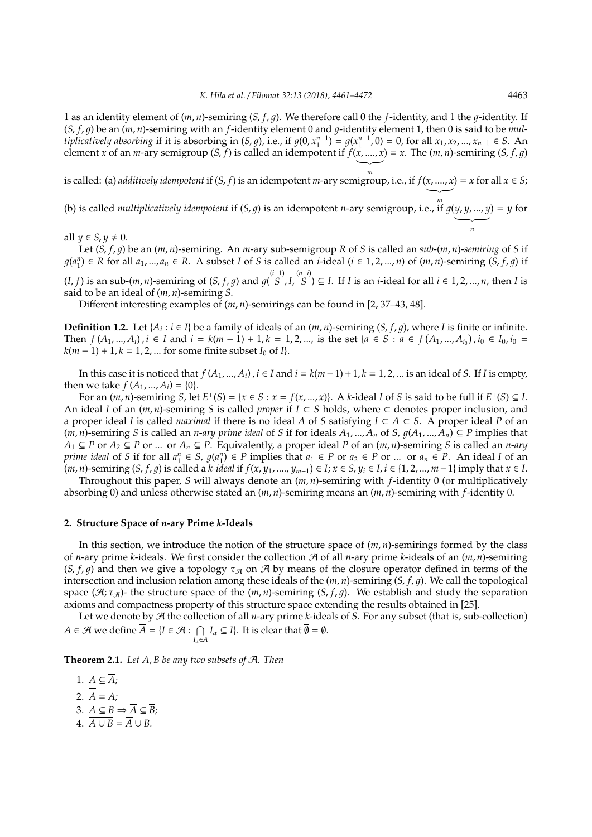1 as an identity element of  $(m, n)$ -semiring  $(S, f, q)$ . We therefore call 0 the *f*-identity, and 1 the *q*-identity. If  $(S, f, q)$  be an  $(m, n)$ -semiring with an *f*-identity element 0 and *q*-identity element 1, then 0 is said to be *multiplicatively absorbing* if it is absorbing in  $(S, g)$ , i.e., if  $g(0, x_1^{n-1}) = g(x_1^{n-1}, 0) = 0$ , for all *x*<sub>1</sub>, *x*<sub>2</sub>, ..., *x*<sub>*n*−1</sub> ∈ *S*. An element *x* of an *m*-ary semigroup  $(S, f)$  is called an idempotent if  $f(x, ..., x) = x$ . The  $(m, n)$ -semiring  $(S, f, g)$  $\frac{1}{m}$ 

*m* is called: (a) *additively idempotent* if (*S*, *f*) is an idempotent *m*-ary semigroup, i.e., if *f*(*x*, ...., *x* ) = *x* for all *x* ∈ *S*;

(b) is called *multiplicatively idempotent* if  $(S, g)$  is an idempotent *n*-ary semigroup, i.e., if  $g(y, y, ..., y)$  $\overline{\phantom{a}}$ ) = *y* for

all  $\psi \in S$ ,  $\psi \neq 0$ .

Let (*S*, *f*, 1) be an (*m*, *n*)-semiring. An *m*-ary sub-semigroup *R* of *S* is called an *sub*-(*m*, *n*)-*semiring* of *S* if  $g(a_1^n) \in R$  for all  $a_1, ..., a_n \in R$ . A subset I of S is called an *i*-ideal  $(i \in 1, 2, ..., n)$  of  $(m, n)$ -semiring  $(\tilde{S}, f, g)$  if (*I*, *f*) is an sub-(*m*, *n*)-semiring of (*S*, *f*, *g*) and  $g$ ( $S$ *S* , *I*, (*n*−*i*) *S* ) ⊆ *I*. If *I* is an *i*-ideal for all *i* ∈ 1, 2, ..., *n*, then *I* is said to be an ideal of (*m*, *n*)-semiring *S*.

Different interesting examples of (*m*, *n*)-semirings can be found in [2, 37–43, 48].

**Definition 1.2.** Let { $A_i : i \in I$ } be a family of ideals of an  $(m, n)$ -semiring ( $S, f, g$ ), where *I* is finite or infinite. Then  $f(A_1,..., A_i)$ ,  $i \in I$  and  $i = k(m-1) + 1$ ,  $k = 1, 2, ...,$  is the set  $\{a \in S : a \in f(A_1,..., A_{i_0})\}$ ,  $i_0 \in I_0$ ,  $i_0 =$  $k(m-1) + 1, k = 1, 2, ...$  for some finite subset *I*<sub>0</sub> of *I*}.

In this case it is noticed that  $f(A_1, ..., A_i)$ ,  $i \in I$  and  $i = k(m-1)+1$ ,  $k = 1, 2, ...$  is an ideal of *S*. If *I* is empty, then we take  $f(A_1, ..., A_i) = \{0\}.$ 

For an  $(m, n)$ -semiring S, let  $E^+(S) = \{x \in S : x = f(x, ..., x)\}\$ . A k-ideal I of S is said to be full if  $E^+(S) \subseteq I$ . An ideal *I* of an (*m*, *n*)-semiring *S* is called *proper* if *I* ⊂ *S* holds, where ⊂ denotes proper inclusion, and a proper ideal *I* is called *maximal* if there is no ideal *A* of *S* satisfying  $I \subset A \subset S$ . A proper ideal *P* of an (*m*, *n*)-semiring *S* is called an *n-ary prime ideal* of *S* if for ideals  $A_1$ , ...,  $A_n$  of *S*,  $q(A_1, ..., A_n) ⊆ P$  implies that *A*<sub>1</sub> ⊆ *P* or *A*<sub>2</sub> ⊆ *P* or ... or *A*<sub>*n*</sub> ⊆ *P*. Equivalently, a proper ideal *P* of an  $(m, n)$ -semiring *S* is called an *n-ary* prime ideal of S if for all  $a_1^n \in S$ ,  $g(a_1^n) \in P$  implies that  $a_1 \in P$  or  $a_2 \in P$  or ... or  $a_n \in P$ . An ideal I of an  $(m, n)$ -semiring  $(S, f, g)$  is called a k-ideal if  $f(x, y_1, ..., y_{m-1}) \in I; x \in S, y_i \in I, i \in \{1, 2, ..., m-1\}$  imply that  $x \in I$ .

Throughout this paper, *S* will always denote an (*m*, *n*)-semiring with *f*-identity 0 (or multiplicatively absorbing 0) and unless otherwise stated an (*m*, *n*)-semiring means an (*m*, *n*)-semiring with *f*-identity 0.

#### **2. Structure Space of** *n***-ary Prime** *k***-Ideals**

In this section, we introduce the notion of the structure space of  $(m, n)$ -semirings formed by the class of *n*-ary prime *k*-ideals. We first consider the collection A of all *n*-ary prime *k*-ideals of an  $(m, n)$ -semiring (*S*, *f*, *g*) and then we give a topology  $\tau_{A}$  on  $A$  by means of the closure operator defined in terms of the intersection and inclusion relation among these ideals of the (*m*, *n*)-semiring (*S*, *f*, 1). We call the topological space ( $\mathcal{A}$ ;  $\tau_{\mathcal{A}}$ )- the structure space of the (*m*, *n*)-semiring (*S*, *f*, *q*). We establish and study the separation axioms and compactness property of this structure space extending the results obtained in [25].

Let we denote by A the collection of all *n*-ary prime *k*-ideals of *S*. For any subset (that is, sub-collection) *A* ∈  $\mathcal{A}$  we define  $\overline{A} = \{I \in \mathcal{A} : \ \cap$  $I_{\alpha} \subseteq I$ }. It is clear that  $\overline{\emptyset} = \emptyset$ .

**Theorem 2.1.** *Let A*, *B be any two subsets of* A*. Then*

1.  $A \subseteq \overline{A}$ ; 2.  $\overline{\overline{A}} = \overline{A}$ ; 3.  $A \subseteq B \Rightarrow \overline{A} \subseteq \overline{B}$ ; 4.  $\overline{A \cup B} = \overline{A} \cup \overline{B}$ .

*n*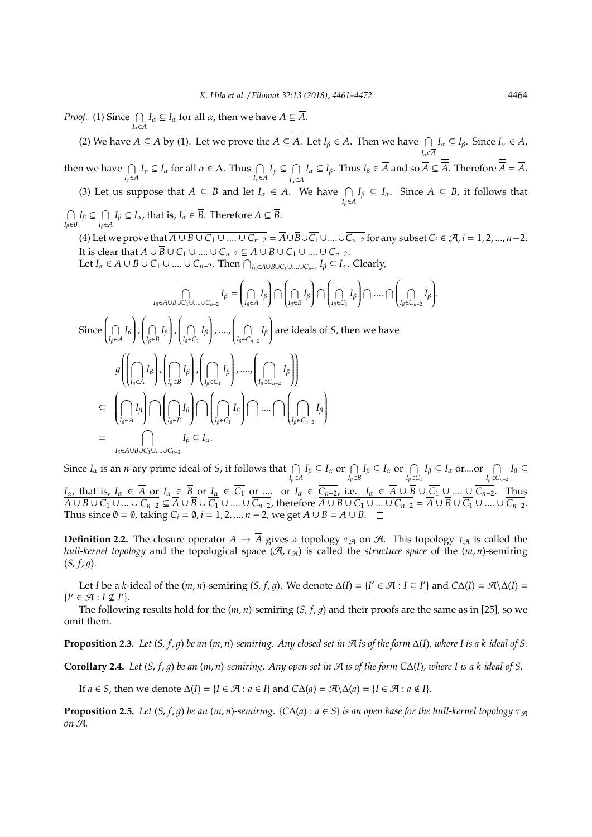*Proof.* (1) Since  $\bigcap$ *I*<sub>α</sub>∈*A*  $I_\alpha \subseteq I_\alpha$  for all  $\alpha$ , then we have  $A \subseteq \overline{A}$ .

(2) We have  $\overline{A}$  ⊆  $\overline{A}$  by (1). Let we prove the  $\overline{A}$  ⊆  $\overline{A}$ . Let  $I_\beta$  ∈  $\overline{A}$ . Then we have  $\bigcap$ *I*α∈*A I*<sub>α</sub> ⊆ *I*<sub>β</sub>. Since *I*<sub>α</sub> ∈  $\overline{A}$ , then we have  $\bigcap$  $\bigcap_{I_y \in A} I_y \subseteq I_\alpha$  for all  $\alpha \in \Lambda$ . Thus  $\bigcap_{I_y \in A} I_y \subseteq \bigcap_{I_x \in A} I_y$  $I_\alpha \in \overline{A}$  $I_{\alpha} \subseteq I_{\beta}$ . Thus  $I_{\beta} \in \overline{A}$  and so  $\overline{A} \subseteq \overline{A}$ . Therefore  $\overline{A} = \overline{A}$ . (3) Let us suppose that  $A \subseteq B$  and let  $I_\alpha \in \overline{A}$ . We have  $\bigcap_{I_\beta \in A} I_\beta \subseteq I_\alpha$ . Since  $A \subseteq B$ , it follows that  $\bigcap$  $I<sub>β</sub> ∈ B$  *I*<sub>β</sub>∈*Z I*<sub>β</sub>∈*I*<sub>α</sub>, that is, *I*<sub>α</sub> ∈ *B*. Therefore  $\overline{A}$  ⊆ *B*. (4) Let we prove that  $\overline{A \cup B \cup C_1 \cup ... \cup C_{n-2}} = \overline{A} \cup \overline{B} \cup \overline{C_1} \cup ... \cup \overline{C_{n-2}}$  for any subset  $C_i \in \mathcal{A}, i = 1, 2, ..., n-2$ . It is clear that  $\overline{A} \cup \overline{B} \cup \overline{C_1} \cup ....\cup \overline{C_{n-2}} \subseteq \overline{A \cup B \cup C_1 \cup ....\cup C_{n-2}}$ . Let  $I_\alpha \in \overline{A \cup B \cup C_1 \cup ... \cup C_{n-2}}$ . Then  $\bigcap_{I_\beta \in A \cup B \cup C_1 \cup ... \cup C_{n-2}} I_\beta \subseteq I_\alpha$ . Clearly,  $\bigcap$  $I_{\beta}$ ∈*A*∪*B*∪*C*<sub>1</sub>∪....∪*C*<sub>*n*−2</sub></sub>  $I_{\beta}$  = ĺ  $\bigcap_{I_{\beta}\in\mathcal{L}}$  $\bigcap$ *I*β<br>*I*β∈*A*  $\lambda$ JU ĺ  $\bigcap_{I_{\beta}\in I}$  $\bigcap$ *I*β<br>*I*β∈*B* ſ  $\int$ ĺ  $\bigcap_{I_{\beta}\in\mathcal{C}}$  $\bigcap_{I_{\beta}\in C_1} I_{\beta}$  $\lambda$  T .... T ĺ  $\bigcap_{I_{\beta}\in C_{r}}$  $I<sub>β</sub> ∈ C<sub>n-2</sub>$ *I*β  $\lambda$  $\int$ Since ĺ  $\bigcap_{I_{\beta}\in\mathbb{Z}}$  $\bigcap$ *I*β<br>*I*β∈*A* Í  $\int$ ſ  $\bigcap_{I_{\beta}\in I}$  $\bigcap$ <sub>*I*β</sub>∈*B*  $\lambda$  $\int$ ſ  $\bigcap_{I_{\beta}\in\mathcal{C}}$  $\bigcap$ <sub>*Iβ*∈*C*<sub>1</sub></sub>  $\lambda$  , ...., ſ  $\bigcap_{I_{\beta}\in C_{r}}$  $I$ β∈*C<sub>n−2</sub>*  $\lambda$  are ideals of *S*, then we have  $\boldsymbol{q}$ ((  $\overline{\phantom{a}}$  $\overline{\mathcal{C}}$  $\cap$  $i_{β}$ ∈*A I*β  $\lambda$  $\begin{array}{c} \end{array}$ , ſ  $\overline{\mathcal{C}}$  $\cap$  $I<sub>β</sub>∈*B*$ *I*β  $\lambda$  $\begin{array}{c} \hline \end{array}$ , ĺ  $\overline{\mathcal{C}}$  $\cap$ *I*β∈*C*<sup>1</sup> *I*β Í  $\begin{array}{c} \n\end{array}$ , ...., ĺ  $\overline{\mathcal{C}}$  $\cap$ *I*β∈*Cn*−<sup>2</sup> *I*β  $\mathcal{U}$  $\begin{array}{c} \n\end{array}$  $\begin{array}{c} \end{array}$ ⊆ ĺ  $\overline{\phantom{a}}$  $\cap$ *I*β∈*A I*β  $\lambda$  $\int$  $\cap$ ĺ  $\overline{\mathcal{C}}$  $\cap$ *I*β∈*B I*β  $\lambda$  $\begin{array}{c} \end{array}$  $\cap$ ĺ  $\overline{\mathcal{C}}$  $\cap$ *I*β∈*C*<sup>1</sup> *I*β Í  $\begin{array}{c} \end{array}$  $\bigcap$ .... $\bigcap$ ĺ  $\overline{\mathcal{C}}$  $\cap$ *I*β∈*Cn*−<sup>2</sup> *I*β  $\lambda$  $\begin{array}{c} \end{array}$ =  $\bigcap$  *I<sub>β</sub>* ⊆ *I<sub>α</sub>*. *I*β∈*A*∪*B*∪*C*1∪....∪*Cn*−<sup>2</sup>

Since  $I_{\alpha}$  is an *n*-ary prime ideal of S, it follows that  $\bigcap_{I_{\beta}\in A} I_{\beta} \subseteq I_{\alpha}$  or  $\bigcap_{I_{\beta}\in B} I_{\beta} \subseteq I_{\alpha}$  or  $\bigcap_{I_{\beta}\in C_1} I_{\beta} \subseteq I_{\alpha}$  or  $\bigcap_{I_{\beta}\in C_1} I_{\beta} \subseteq I_{\alpha}$  or  $\bigcap_{I_{\beta}\in C_{n-2}} I_{\beta} \subseteq I_{\alpha}$ *I*<sub>α,</sub> that is, *I*<sub>α</sub> ∈  $\overline{A}$  or *I*<sub>α</sub> ∈  $\overline{B}$  or *I*<sub>α</sub> ∈  $\overline{C_1}$  or .... or *I*<sub>α</sub> ∈  $\overline{C_{n-2}}$ , i.e. *I*<sub>α</sub> ∈  $\overline{A}$  ∪  $\overline{B}$  ∪  $\overline{C_1}$  ∪ .... ∪  $\overline{C_{n-2}}$ . Thus  $\overline{A\cup B\cup C_1\cup...\cup C_{n-2}}\subseteq \overline{A}\cup\overline{B}\cup\overline{C_1}\cup...\cup\overline{C_{n-2}}$ , therefore  $\overline{A\cup B\cup C_1\cup...\cup C_{n-2}}=\overline{A}\cup\overline{B}\cup\overline{C_1}\cup....\cup\overline{C_{n-2}}$ . Thus since  $\overline{\emptyset} = \emptyset$ , taking  $C_i = \emptyset$ ,  $i = 1, 2, ..., n-2$ , we get  $\overline{A \cup B} = \overline{A} \cup \overline{B}$ .

**Definition 2.2.** The closure operator  $A \to \overline{A}$  gives a topology  $\tau_{\mathcal{A}}$  on  $\mathcal{A}$ . This topology  $\tau_{\mathcal{A}}$  is called the *hull-kernel topology* and the topological space  $(A, \tau_A)$  is called the *structure space* of the  $(m, n)$ -semiring  $(S, f, g)$ .

Let *I* be a *k*-ideal of the  $(m, n)$ -semiring  $(S, f, g)$ . We denote  $\Delta(I) = \{I' \in \mathcal{A} : I \subseteq I'\}$  and  $C\Delta(I) = \mathcal{A}\Delta(I)$  ${I'} \in \mathcal{A} : I \nsubseteq I'$ .

The following results hold for the (*m*, *n*)-semiring (*S*, *f*, 1) and their proofs are the same as in [25], so we omit them.

**Proposition 2.3.** *Let*  $(S, f, q)$  *be an*  $(m, n)$ -semiring. Any closed set in  $A$  is of the form  $\Delta(I)$ *, where* I is a k-ideal of S.

**Corollary 2.4.** Let  $(S, f, g)$  be an  $(m, n)$ -semiring. Any open set in  $\mathcal A$  is of the form  $C\Delta(I)$ , where I is a k-ideal of S.

If *a* ∈ *S*, then we denote  $\Delta(I) = \{I \in \mathcal{A} : a \in I\}$  and  $C\Delta(a) = \mathcal{A}\Delta(a) = \{I \in \mathcal{A} : a \notin I\}$ .

**Proposition 2.5.** *Let*  $(S, f, g)$  *be an*  $(m, n)$ -semiring.  $\{C\Delta(a) : a \in S\}$  *is an open base for the hull-kernel topology*  $\tau_{\mathcal{A}}$ *on* A*.*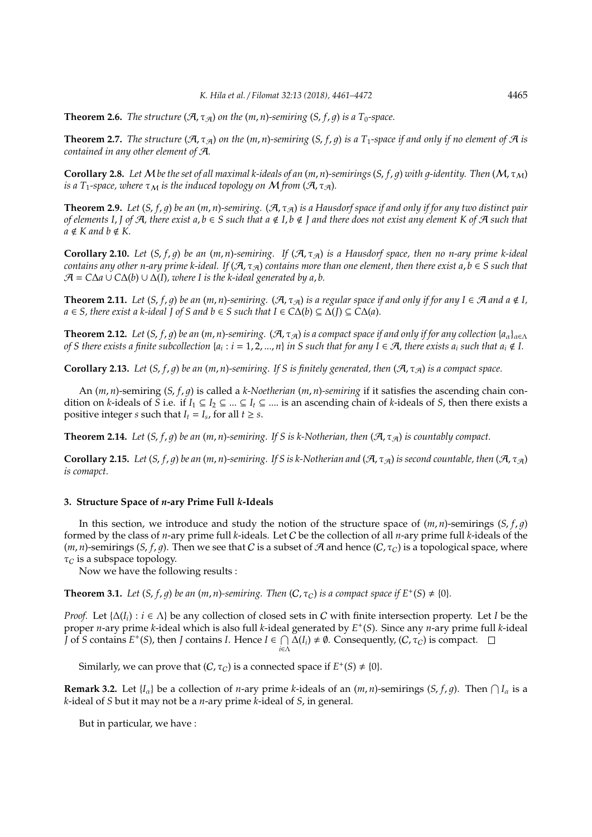**Theorem 2.6.** *The structure*  $(A, \tau_A)$  *on the*  $(m, n)$ *-semiring*  $(S, f, q)$  *is a*  $T_0$ *-space.* 

**Theorem 2.7.** *The structure*  $(A, \tau_A)$  *on the*  $(m, n)$ *-semiring*  $(S, f, q)$  *is a*  $T_1$ *-space if and only if no element of*  $A$  *is contained in any other element of* A*.*

**Corollary 2.8.** Let M be the set of all maximal k-ideals of an  $(m, n)$ -semirings  $(S, f, q)$  with q-identity. Then  $(M, \tau_M)$ *is a T*<sub>1</sub>-space, where  $\tau_M$  *is the induced topology on* M *from* ( $\mathcal{A}, \tau_{\mathcal{A}}$ ).

**Theorem 2.9.** Let  $(S, f, g)$  be an  $(m, n)$ -semiring.  $(A, \tau_A)$  is a Hausdorf space if and only if for any two distinct pair *of elements I, J of A, there exist a, b*  $\in$  *S such that a*  $\notin$  *I, b*  $\notin$  *J and there does not exist any element K of A such that*  $a \notin K$  and  $b \notin K$ .

**Corollary 2.10.** *Let*  $(S, f, g)$  *be an*  $(m, n)$ -semiring. *If*  $(\mathcal{A}, \tau_{\mathcal{A}})$  *is a Hausdorf space, then no n-ary prime k-ideal contains any other n-ary prime k-ideal. If*  $(A, \tau_A)$  *contains more than one element, then there exist a, b*  $\in$  *S such that*  $\mathcal{A} = C\Delta a \cup C\Delta(b) \cup \Delta(I)$ , where I is the k-ideal generated by a, b.

**Theorem 2.11.** Let  $(S, f, q)$  be an  $(m, n)$ -semiring.  $(\mathcal{A}, \tau_{\mathcal{A}})$  is a regular space if and only if for any  $I \in \mathcal{A}$  and  $a \notin I$ , *a* ∈ *S*, *there exist a k-ideal J* of *S* and *b* ∈ *S* such that *I* ∈  $CA(b) ⊆ \Delta(I) ⊆ CA(a)$ .

**Theorem 2.12.** Let  $(S, f, q)$  be an  $(m, n)$ -semiring.  $(\mathcal{A}, \tau_{\mathcal{A}})$  is a compact space if and only if for any collection  $\{a_{\alpha}\}_{\alpha \in \Lambda}$ *of S there exists a finite subcollection {* $a_i$  *:*  $i=1,2,...,n$ *} <i>in S such that for any*  $I\in \mathcal{A}$ *, there exists*  $a_i$  *such that*  $a_i\notin I$ *.* 

**Corollary 2.13.** *Let*  $(S, f, g)$  *be an*  $(m, n)$ *-semiring. If S is finitely generated, then*  $(\mathcal{A}, \tau_{\mathcal{A}})$  *is a compact space.* 

An (*m*, *n*)-semiring (*S*, *f*, 1) is called a *k-Noetherian* (*m*, *n*)*-semiring* if it satisfies the ascending chain condition on *k*-ideals of *S* i.e. if  $I_1 \subseteq I_2 \subseteq ... \subseteq I_t \subseteq ...$  is an ascending chain of *k*-ideals of *S*, then there exists a positive integer *s* such that  $I_t = I_s$ , for all  $t \geq s$ .

**Theorem 2.14.** *Let*  $(S, f, g)$  *be an*  $(m, n)$ *-semiring. If S* is k-Notherian, then  $(\mathcal{A}, \tau_{\mathcal{A}})$  *is countably compact.* 

**Corollary 2.15.** *Let*  $(S, f, g)$  *be an*  $(m, n)$ *-semiring. If* S is k-Notherian and  $(\mathcal{A}, \tau_{\mathcal{A}})$  is second countable, then  $(\mathcal{A}, \tau_{\mathcal{A}})$ *is comapct.*

## **3. Structure Space of** *n***-ary Prime Full** *k***-Ideals**

In this section, we introduce and study the notion of the structure space of  $(m, n)$ -semirings  $(S, f, q)$ formed by the class of *n*-ary prime full *k*-ideals. Let C be the collection of all *n*-ary prime full *k*-ideals of the  $(m, n)$ -semirings (*S*, *f*, *g*). Then we see that *C* is a subset of A and hence (*C*,  $\tau$ *c*) is a topological space, where  $\tau_C$  is a subspace topology.

Now we have the following results :

**Theorem 3.1.** *Let*  $(S, f, g)$  *be an*  $(m, n)$ *-semiring. Then*  $(C, \tau_C)$  *is a compact space if*  $E^+(S) \neq \{0\}$ *.* 

*Proof.* Let  $\{\Delta(I_i): i \in \Lambda\}$  be any collection of closed sets in C with finite intersection property. Let *I* be the proper *n*-ary prime *k*-ideal which is also full *k*-ideal generated by *E* + (*S*). Since any *n*-ary prime full *k*-ideal  $\overline{J}$  of *S* contains  $E^+(S)$ , then  $\overline{J}$  contains  $\overline{I}$ . Hence  $\overline{I} \in \bigcap$  $\bigcap_{i\in\Lambda}\Delta(I_i) \neq \emptyset$ . Consequently,  $(C, \tau_C)$  is compact.

Similarly, we can prove that  $(C, \tau_C)$  is a connected space if  $E^+(S) \neq \{0\}$ .

**Remark 3.2.** Let  $\{I_\alpha\}$  be a collection of *n*-ary prime *k*-ideals of an  $(m, n)$ -semirings  $(S, f, g)$ . Then  $\bigcap I_\alpha$  is a *k*-ideal of *S* but it may not be a *n*-ary prime *k*-ideal of *S*, in general.

But in particular, we have :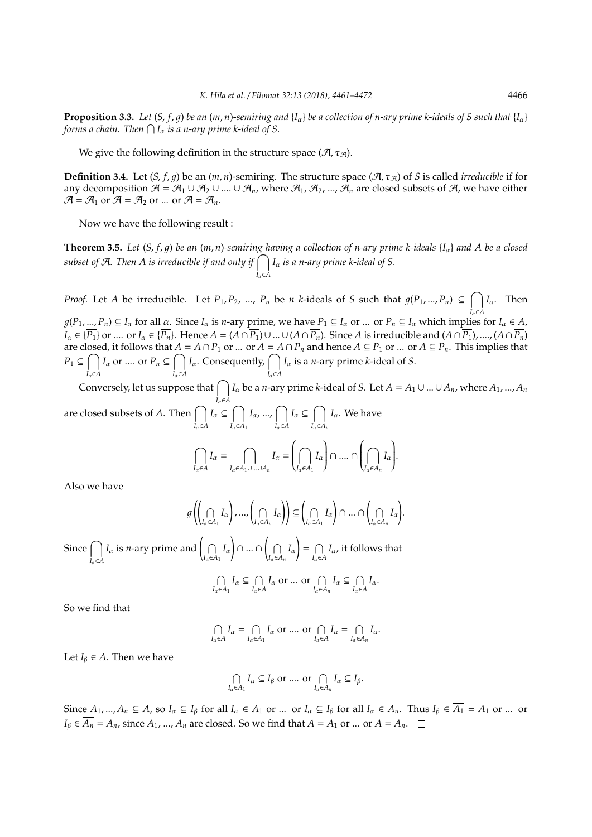**Proposition 3.3.** Let  $(S, f, q)$  be an  $(m, n)$ -semiring and  $\{I_\alpha\}$  be a collection of n-ary prime k-ideals of S such that  $\{I_\alpha\}$ forms a chain. Then  $\bigcap I_\alpha$  is a n-ary prime k-ideal of S.

We give the following definition in the structure space  $(\mathcal{A}, \tau_{\mathcal{A}})$ .

**Definition 3.4.** Let  $(S, f, g)$  be an  $(m, n)$ -semiring. The structure space  $(\mathcal{A}, \tau_{\mathcal{A}})$  of *S* is called *irreducible* if for any decomposition  $\mathcal{A} = \mathcal{A}_1 \cup \mathcal{A}_2 \cup ... \cup \mathcal{A}_n$ , where  $\mathcal{A}_1$ ,  $\mathcal{A}_2$ , ...,  $\mathcal{A}_n$  are closed subsets of  $\mathcal{A}$ , we have either  $\mathcal{A} = \mathcal{A}_1$  or  $\mathcal{A} = \mathcal{A}_2$  or ... or  $\mathcal{A} = \mathcal{A}_n$ .

Now we have the following result :

**Theorem 3.5.** *Let*  $(S, f, g)$  *be an*  $(m, n)$ *-semiring having a collection of n-ary prime k-ideals*  $\{I_\alpha\}$  *and* A *be a closed* subset of A. Then A is irreducible if and only if  $\bigcap$ *I*α∈*A I*<sup>α</sup> *is a n-ary prime k-ideal of S.*

*Proof.* Let *A* be irreducible. Let  $P_1, P_2, ..., P_n$  be *n k*-ideals of *S* such that  $g(P_1, ..., P_n) \subseteq \bigcap$ *I*α∈*A I*α. Then  $g(P_1, ..., P_n) \subseteq I_\alpha$  for all  $\alpha$ . Since  $I_\alpha$  is *n*-ary prime, we have  $P_1 \subseteq I_\alpha$  or ... or  $P_n \subseteq I_\alpha$  which implies for  $I_\alpha \in A$ ,  $I_{\alpha} \in \{\overline{P_1}\}\$  or .... or  $I_{\alpha} \in \{\overline{P_n}\}\$ . Hence  $A = (A \cap \overline{P_1}) \cup ... \cup (A \cap \overline{P_n})$ . Since A is irreducible and  $(A \cap \overline{P_1})$ , ....,  $(A \cap \overline{P_n})$ are closed, it follows that  $A = A \cap \overline{P_1}$  or ... or  $A = A \cap \overline{P_n}$  and hence  $A \subseteq \overline{P_1}$  or ... or  $A \subseteq \overline{P_n}$ . This implies that  $P_1 \subseteq \bigcap$ *I*α∈*A I*<sup>α</sup> or .... or  $P_n \subseteq \bigcap$ *I*α∈*A I*<sub>α</sub>. Consequently,  $\bigcap$ *I*α∈*A I*<sup>α</sup> is a *n*-ary prime *k*-ideal of *S*.

Conversely, let us suppose that  $\bigcap$ *I*α∈*A I*<sub>α</sub> be a *n*-ary prime *k*-ideal of *S*. Let  $A = A_1 \cup ... \cup A_n$ , where  $A_1$ , ...,  $A_n$ are closed subsets of A. Then  $\bigcap$ *I*α∈*A*  $I_\alpha \subseteq \bigcap$ *I*α∈*A*<sup>1</sup>  $I_{\alpha}$ , ...,  $\bigcap$ *I*α∈*A*  $I_\alpha \subseteq \bigcap$ *I*α∈*A<sup>n</sup> I*α. We have

$$
\bigcap_{I_{\alpha}\in A} I_{\alpha} = \bigcap_{I_{\alpha}\in A_1\cup...\cup A_n} I_{\alpha} = \left(\bigcap_{I_{\alpha}\in A_1} I_{\alpha}\right) \cap ... \cap \left(\bigcap_{I_{\alpha}\in A_n} I_{\alpha}\right).
$$

Also we have

$$
g\left(\left(\bigcap_{I_{\alpha}\in A_{1}}I_{\alpha}\right),\ldots,\left(\bigcap_{I_{\alpha}\in A_{n}}I_{\alpha}\right)\right) \subseteq \left(\bigcap_{I_{\alpha}\in A_{1}}I_{\alpha}\right) \cap \ldots \cap \left(\bigcap_{I_{\alpha}\in A_{n}}I_{\alpha}\right).
$$

Since  $\bigcap$ *I*α∈*A*  $I_\alpha$  is *n*-ary prime and  $\Big(\bigcap$  $\bigcap_{I_{\alpha}\in A_1} I_{\alpha}$ ∩ )∩…∩  $\bigcap_{I_{\alpha}\in A_n} I_{\alpha}$ !  $= \bigcap$  $\bigcap_{I_{\alpha}\in A} I_{\alpha}$ , it follows that

$$
\bigcap_{I_{\alpha}\in A_{1}}I_{\alpha}\subseteq \bigcap_{I_{\alpha}\in A}I_{\alpha} \text{ or }\dots \text{ or }\bigcap_{I_{\alpha}\in A_{n}}I_{\alpha}\subseteq \bigcap_{I_{\alpha}\in A}I_{\alpha}.
$$

So we find that

$$
\bigcap_{I_{\alpha}\in A} I_{\alpha} = \bigcap_{I_{\alpha}\in A_1} I_{\alpha} \text{ or } \dots \text{ or } \bigcap_{I_{\alpha}\in A} I_{\alpha} = \bigcap_{I_{\alpha}\in A_n} I_{\alpha}.
$$

Let *I*<sub>*B*</sub>  $\in$  *A*. Then we have

$$
\bigcap_{I_{\alpha}\in A_1}I_{\alpha}\subseteq I_{\beta}\text{ or }\dots \text{ or }\bigcap_{I_{\alpha}\in A_n}I_{\alpha}\subseteq I_{\beta}.
$$

Since  $A_1, ..., A_n \subseteq A$ , so  $I_\alpha \subseteq I_\beta$  for all  $I_\alpha \in A_1$  or ... or  $I_\alpha \subseteq I_\beta$  for all  $I_\alpha \in A_n$ . Thus  $I_\beta \in \overline{A_1} = A_1$  or ... or  $I_\beta \in \overline{A_n} = A_n$ , since  $A_1$ , ...,  $A_n$  are closed. So we find that  $A = A_1$  or ... or  $A = A_n$ .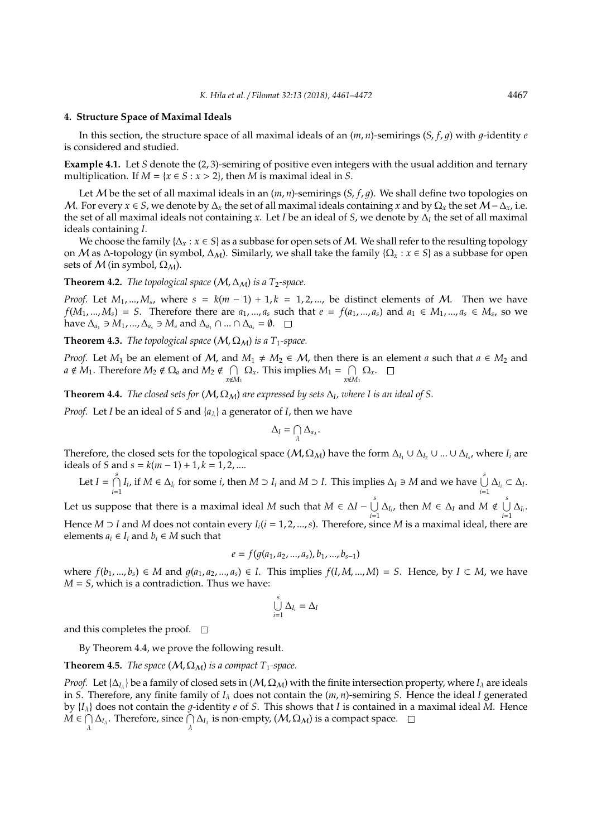#### **4. Structure Space of Maximal Ideals**

In this section, the structure space of all maximal ideals of an  $(m, n)$ -semirings  $(S, f, g)$  with  $g$ -identity  $e$ is considered and studied.

**Example 4.1.** Let *S* denote the (2, 3)-semiring of positive even integers with the usual addition and ternary multiplication. If  $M = \{x \in S : x > 2\}$ , then  $M$  is maximal ideal in  $S$ .

Let M be the set of all maximal ideals in an  $(m, n)$ -semirings  $(S, f, g)$ . We shall define two topologies on *M*. For every *x* ∈ *S*, we denote by  $\Delta$ <sub>*x*</sub> the set of all maximal ideals containing *x* and by  $\Omega$ <sub>*x*</sub> the set *M* −  $\Delta$ <sub>*x*</sub>, i.e. the set of all maximal ideals not containing *x*. Let *I* be an ideal of *S*, we denote by ∆*<sup>I</sup>* the set of all maximal ideals containing *I*.

We choose the family  $\{\Delta_x : x \in S\}$  as a subbase for open sets of M. We shall refer to the resulting topology on M as ∆-topology (in symbol, ∆M). Similarly, we shall take the family {Ω*<sup>x</sup>* : *x* ∈ *S*} as a subbase for open sets of  $M$  (in symbol,  $\Omega_M$ ).

**Theorem 4.2.** *The topological space* ( $M$ ,  $\Delta_M$ ) *is a T*<sub>2</sub>-space.

*Proof.* Let  $M_1, ..., M_s$ , where  $s = k(m-1) + 1, k = 1, 2, ...,$  be distinct elements of M. Then we have  $f(M_1,...,M_s) = S$ . Therefore there are  $a_1,...,a_s$  such that  $e = f(a_1,...,a_s)$  and  $a_1 \in M_1,...,a_s \in M_s$ , so we have  $\Delta_{a_1} \ni M_1, ..., \Delta_{a_s} \ni M_s$  and  $\Delta_{a_1} \cap ... \cap \Delta_{a_s} = \emptyset$ .  $\square$ 

**Theorem 4.3.** *The topological space* ( $M$ ,  $\Omega$ <sub>*M*</sub>) *is a T*<sub>1</sub>-space.

*Proof.* Let  $M_1$  be an element of  $M$ , and  $M_1 \neq M_2 \in M$ , then there is an element *a* such that  $a \in M_2$  and  $a \notin M_1$ . Therefore  $M_2 \notin \Omega_a$  and  $M_2 \notin \cap$  $\bigcap_{x \notin M_1} \Omega_x$ . This implies  $M_1 = \bigcap_{x \notin M_1}$  $\bigcap_{x \notin M_1} \Omega_x.$ 

**Theorem 4.4.** *The closed sets for*  $(M, \Omega_M)$  *are expressed by sets*  $\Delta_I$ *, where I is an ideal of S.* 

*Proof.* Let *I* be an ideal of *S* and {*a*λ} a generator of *I*, then we have

$$
\Delta_I=\bigcap_{\lambda}\Delta_{a_\lambda}.
$$

Therefore, the closed sets for the topological space  $(M, \Omega_M)$  have the form  $\Delta_{I_1} \cup \Delta_{I_2} \cup ... \cup \Delta_{I_s}$ , where  $I_i$  are ideals of *S* and *s* =  $k(m − 1) + 1, k = 1, 2, ...$ 

Let 
$$
I = \bigcap_{i=1}^{s} I_i
$$
, if  $M \in \Delta_{I_i}$  for some  $i$ , then  $M \supset I_i$  and  $M \supset I$ . This implies  $\Delta_I \supset M$  and we have  $\bigcup_{i=1}^{s} \Delta_{I_i} \subset \Delta_I$ .

Let us suppose that there is a maximal ideal *M* such that  $M \in \Delta I - \bigcup_{i=1}^{s}$  $\bigcup_{i=1}^{s} \Delta_{I_i}$ , then *M* ∈  $\Delta_I$  and *M* ∉  $\bigcup_{i=1}^{s}$  $\bigcup_{i=1} \Delta_{I_i}$ . Hence  $M \supset I$  and  $M$  does not contain every  $I_i$  ( $i = 1, 2, ..., s$ ). Therefore, since  $M$  is a maximal ideal, there are elements  $a_i \in I_i$  and  $b_i \in M$  such that

$$
e = f(g(a_1, a_2, ..., a_s), b_1, ..., b_{s-1})
$$

where  $f(b_1,...,b_s) \in M$  and  $g(a_1,a_2,...,a_s) \in I$ . This implies  $f(I,M,...,M) = S$ . Hence, by  $I \subset M$ , we have *M* = *S*, which is a contradiction. Thus we have:

$$
\bigcup_{i=1}^s \Delta_{I_i} = \Delta_I
$$

and this completes the proof.  $\square$ 

By Theorem 4.4, we prove the following result.

## **Theorem 4.5.** *The space* ( $M$ ,  $\Omega$ <sub>*M*</sub>) *is a compact*  $T_1$ *-space.*

*Proof.* Let  $\{\Delta_{I_A}\}$  be a family of closed sets in  $(M, \Omega_M)$  with the finite intersection property, where  $I_A$  are ideals in *S*. Therefore, any finite family of *I*<sup>λ</sup> does not contain the (*m*, *n*)-semiring *S*. Hence the ideal *I* generated by  $\{I_\lambda\}$  does not contain the g-identity e of *S*. This shows that *I* is contained in a maximal ideal *M*. Hence  $\check{M} \in \bigcap$  $\bigcap_{\lambda}\Delta_{I_{\lambda}}$ . Therefore, since  $\bigcap_{\lambda}\Delta_{I_{\lambda}}$  is non-empty,  $(\mathcal{M}, \Omega_{\mathcal{M}})$  is a compact space.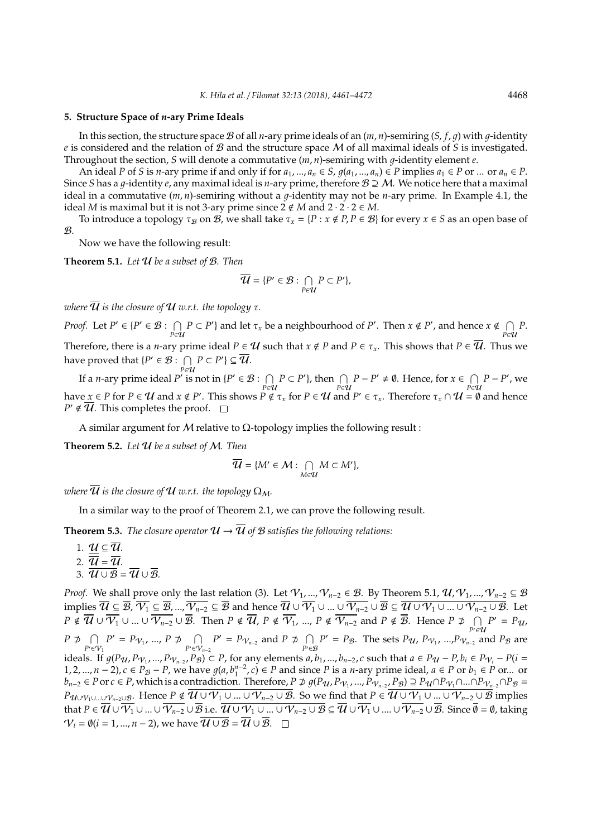#### **5. Structure Space of** *n***-ary Prime Ideals**

In this section, the structure space B of all *n*-ary prime ideals of an  $(m, n)$ -semiring  $(S, f, q)$  with  $q$ -identity *e* is considered and the relation of B and the structure space M of all maximal ideals of *S* is investigated. Throughout the section, *S* will denote a commutative  $(m, n)$ -semiring with  $q$ -identity element  $e$ .

An ideal P of S is n-ary prime if and only if for  $a_1, ..., a_n \in S$ ,  $q(a_1, ..., a_n) \in P$  implies  $a_1 \in P$  or ... or  $a_n \in P$ . Since *S* has a *g*-identity *e*, any maximal ideal is *n*-ary prime, therefore  $B \supseteq M$ . We notice here that a maximal ideal in a commutative  $(m, n)$ -semiring without a  $q$ -identity may not be *n*-ary prime. In Example 4.1, the ideal *M* is maximal but it is not 3-ary prime since  $2 \notin M$  and  $2 \cdot 2 \cdot 2 \in M$ .

To introduce a topology  $\tau_B$  on B, we shall take  $\tau_x = \{P : x \notin P, P \in \mathcal{B}\}\$  for every  $x \in S$  as an open base of  $\mathcal{B}$ .

Now we have the following result:

**Theorem 5.1.** *Let* U *be a subset of* B*. Then*

$$
\overline{\mathcal{U}} = \{P' \in \mathcal{B} : \bigcap_{P \in \mathcal{U}} P \subset P'\},\
$$

*where*  $\overline{\mathcal{U}}$  *is the closure of*  $\mathcal{U}$  *w.r.t. the topology*  $\tau$ *.* 

*Proof.* Let  $P' \in \{P' \in \mathcal{B} : \bigcap P \subset P'\}$  and let  $\tau_x$  be a neighbourhood of  $P'$ . Then  $x \notin P'$ , and hence  $x \notin \bigcap P$ . *P*∈U *P*∈U Therefore, there is a *n*-ary prime ideal  $P \in U$  such that  $x \notin P$  and  $P \in \tau_x$ . This shows that  $P \in \overline{U}$ . Thus we have proved that  $\{P' \in \mathcal{B} : \bigcap$  $\bigcap_{P \in \mathcal{U}} P \subset P' \} \subseteq \overline{\mathcal{U}}.$ 

If a *n*-ary prime ideal  $P'$  is not in { $P' \in \mathcal{B}$  :  $\bigcap$  $\bigcap_{P \in \mathcal{U}} P \subset P'$ , then  $\bigcap_{P \in \mathcal{U}} P - P' \neq \emptyset$ . Hence, for  $x \in \bigcap_{P \in \mathcal{U}} P$  $\bigcap_{P \in \mathcal{U}} P - P'$ , we have  $x \in P$  for  $P \in U$  and  $x \notin P'$ . This shows  $P \notin \tau_x$  for  $P \in U$  and  $P' \in \tau_x$ . Therefore  $\tau_x \cap U = \emptyset$  and hence  $P' \notin \overline{U}$ . This completes the proof.

A similar argument for  $M$  relative to  $\Omega$ -topology implies the following result :

**Theorem 5.2.** *Let* U *be a subset of* M*. Then*

$$
\overline{\mathcal{U}} = \{M' \in \mathcal{M} : \bigcap_{M \in \mathcal{U}} M \subset M'\},\
$$

*where*  $\overline{\mathcal{U}}$  *is the closure of*  $\mathcal{U}$  *w.r.t. the topology*  $\Omega_M$ *.* 

In a similar way to the proof of Theorem 2.1, we can prove the following result.

**Theorem 5.3.** *The closure operator*  $\mathcal{U} \rightarrow \overline{\mathcal{U}}$  *of*  $\mathcal{B}$  *satisfies the following relations:* 

1.  $\mathcal{U} \subseteq \overline{\mathcal{U}}$ . 2.  $\overline{\overline{u}} = \overline{u}$ . 3.  $\overline{\mathcal{U}\cup\mathcal{B}} = \overline{\mathcal{U}}\cup\overline{\mathcal{B}}$ 

*Proof.* We shall prove only the last relation (3). Let  $\mathcal{V}_1$ , ...,  $\mathcal{V}_{n-2}$  ∈  $\mathcal{B}$ . By Theorem 5.1,  $\mathcal{U}, \mathcal{V}_1$ , ...,  $\mathcal{V}_{n-2}$  ⊆  $\mathcal{B}$ implies  $\overline{\mathcal{U}} \subseteq \overline{\mathcal{B}}, \overline{\mathcal{V}_1} \subseteq \overline{\mathcal{B}}, ..., \overline{\mathcal{V}_{n-2}} \subseteq \overline{\mathcal{B}}$  and hence  $\overline{\mathcal{U}} \cup \overline{\mathcal{V}_1} \cup ... \cup \overline{\mathcal{V}_{n-2}} \cup \overline{\mathcal{B}} \subseteq \overline{\mathcal{U} \cup \mathcal{V}_1 \cup ... \cup \mathcal{V}_{n-2} \cup \mathcal{B}}$ . Let  $P \notin \overline{\mathcal{U}} \cup \overline{\mathcal{V}_1} \cup ... \cup \overline{\mathcal{V}_{n-2}} \cup \overline{\mathcal{B}}$ . Then  $P \notin \overline{\mathcal{U}}$ ,  $P \notin \overline{\mathcal{V}_1}$ , …,  $P \notin \overline{\mathcal{V}_{n-2}}$  and  $P \notin \overline{\mathcal{B}}$ . Hence  $P \not\supseteq \ \cap$  $\bigcap_{P' \in \mathcal{U}} P' = P_{\mathcal{U}}$  $P \not\supset \cap$  $P' \in V_1$  $P' = P_{V_1}, ..., P \not\supset \bigcap$ *P*<sup> $\epsilon$ </sup><sup>∈</sup> $V$ <sub>*n*−2</sub> *P*<sup> $\prime$ </sup> = *P*<sub> $\gamma$ <sub>*n*−2</sub> and *P* ⊅  $\cap$ </sub>  $\bigcap_{P' \in \mathcal{B}} P' = P_{\mathcal{B}}$ . The sets *P*<sub>U</sub>, *P*<sub>·</sub> *P*<sub>V<sub>1</sub></sub>, ...,*P*<sub>·</sub> *V*<sub>*n*-2</sub> and *P*<sub>B</sub> are ideals. If  $g(P_{\mathcal{U}}, P_{\mathcal{V}_1}, ..., P_{\mathcal{V}_{n-2}}, P_{\mathcal{B}}) \subset P$ , for any elements  $a, b_1, ..., b_{n-2}, c$  such that  $a \in P_{\mathcal{U}} - P, b_i \in P_{\mathcal{V}_i} - P(i = 1, 2, \dots, n-2)$ 1, 2, ...,  $n-2$ ),  $c \in P_B - P$ , we have  $g(a, b_1^{n-2}, c) \in P$  and since P is a *n*-ary prime ideal,  $a \in P$  or  $b_1 \in P$  or ... or *b*<sub>n−2</sub> ∈ *P* or *c* ∈ *P*, which is a contradiction. Therefore, *P* ⊅  $g(P_{\mathcal{U}}, P_{\mathcal{V}_1},..., P_{\mathcal{V}_{n-2}}, P_{\mathcal{B}}) \supseteq P_{\mathcal{U}} \cap P_{\mathcal{V}_1} \cap ... \cap P_{\mathcal{V}_{n-2}} \cap P_{\mathcal{B}} =$ *P*U∪ $V_1$ ∪...∪ $V_{n-2}$ ∪ $g$ . Hence  $P \notin \overline{\mathcal{U} \cup \mathcal{V}_1 \cup ... \cup \mathcal{V}_{n-2} \cup \mathcal{B}}$ . So we find that  $P \in \overline{\mathcal{U} \cup \mathcal{V}_1 \cup ... \cup \mathcal{V}_{n-2} \cup \mathcal{B}}$  implies that  $P\in\overline{\mathcal{U}}\cup\overline{\mathcal{V}_{1}}\cup...\cup\overline{\mathcal{V}_{n-2}}\cup\overline{\mathcal{B}}$  i.e.  $\overline{\mathcal{U}}\cup\overline{\mathcal{V}_{1}}\cup...\cup\mathcal{V}_{n-2}\cup\overline{\mathcal{B}}\subseteq\overline{\mathcal{U}}\cup\overline{\mathcal{V}_{1}}\cup...\cup\overline{\mathcal{V}_{n-2}}\cup\overline{\mathcal{B}}$ . Since  $\overline{\emptyset}=\emptyset$ , taking  $V_i = \emptyset (i = 1, ..., n - 2)$ , we have  $\overline{U \cup B} = \overline{U} \cup \overline{B}$ .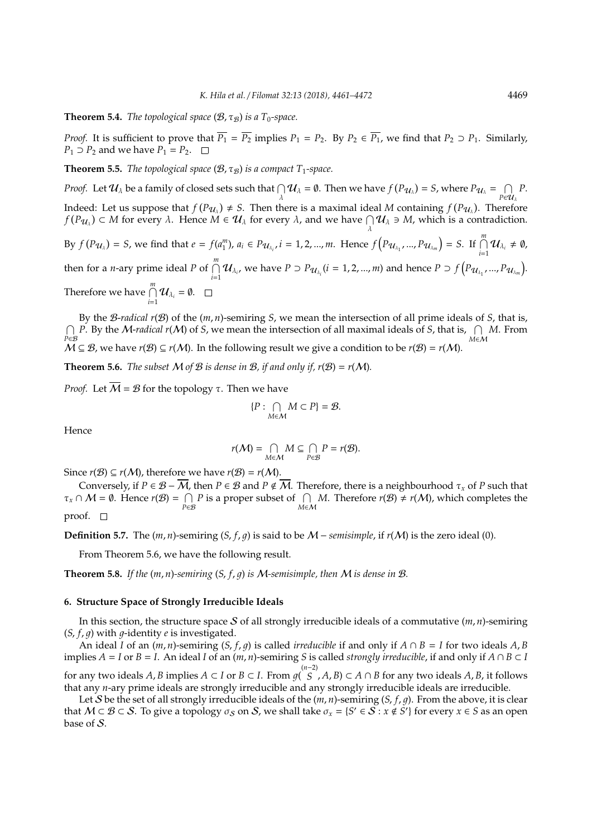**Theorem 5.4.** *The topological space*  $(B, \tau_B)$  *is a T<sub>0</sub>-space.* 

*Proof.* It is sufficient to prove that  $\overline{P_1} = \overline{P_2}$  implies  $P_1 = P_2$ . By  $P_2 \in \overline{P_1}$ , we find that  $P_2 \supset P_1$ . Similarly, *P*<sub>1</sub> ⊃ *P*<sub>2</sub> and we have *P*<sub>1</sub> = *P*<sub>2</sub>. □

**Theorem 5.5.** *The topological space*  $(B, \tau_B)$  *is a compact*  $T_1$ *-space.* 

*Proof.* Let  $\mathcal{U}_\lambda$  be a family of closed sets such that  $\bigcap_\lambda \mathcal{U}_\lambda = \emptyset$ . Then we have  $f(P_{\mathcal{U}_\lambda}) = S$ , where  $P_{\mathcal{U}_\lambda} = \bigcap_{P \in \mathcal{U}_\lambda}$ *P*∈U<sup>λ</sup> *P*. Indeed: Let us suppose that  $f(P_{\mathcal{U}_\lambda}) \neq S$ . Then there is a maximal ideal *M* containing  $f(P_{\mathcal{U}_\lambda})$ . Therefore *f*  $(P_{\mathcal{U}_{\lambda}}) \subset M$  for every  $\lambda$ . Hence  $\widetilde{M} \in \mathcal{U}_{\lambda}$  for every  $\lambda$ , and we have  $\bigcap_{\lambda} \mathcal{U}_{\lambda} \ni M$ , which is a contradiction.

By  $f(P_{\mathcal{U}_{\lambda}}) = S$ , we find that  $e = f(a_1^m)$ ,  $a_i \in P_{\mathcal{U}_{\lambda_i}}$ ,  $i = 1, 2, ..., m$ . Hence  $f(P_{\mathcal{U}_{\lambda_1}}, ..., P_{\mathcal{U}_{\lambda_m}}) = S$ . If  $\bigcap_{i=1}^m \mathcal{U}_{\lambda_i} \neq \emptyset$ , then for a *n*-ary prime ideal *P* of  $\bigcap_{i=1}^{m} \mathcal{U}_{\lambda_i}$ , we have  $P \supset P_{\mathcal{U}_{\lambda_i}}(i=1,2,...,m)$  and hence  $P \supset f(P_{\mathcal{U}_{\lambda_1}},...,P_{\mathcal{U}_{\lambda_m}})$ . Therefore we have  $\bigcap_{i=1}^{m} \mathcal{U}_{\lambda_i} = \emptyset$ .

By the B-*radical r*(B) of the (*m*, *n*)-semiring *S*, we mean the intersection of all prime ideals of *S*, that is,  $\bigcap$ *P*∈*B P*. By the *M-radical r*(*M*) of *S*, we mean the intersection of all maximal ideals of *S*, that is,  $\bigcap_{M \in \mathcal{M}} M$ . From  $M \subseteq \mathcal{B}$ , we have  $r(\mathcal{B}) \subseteq r(\mathcal{M})$ . In the following result we give a condition to be  $r(\mathcal{B}) = r(\mathcal{M})$ .

**Theorem 5.6.** *The subset*  $M$  *of*  $B$  *is dense in*  $B$ *, if and only if, r*( $B$ ) = *r*( $M$ )*.* 

*Proof.* Let  $\overline{M} = \mathcal{B}$  for the topology  $\tau$ . Then we have

$$
\{P:\bigcap_{M\in\mathcal{M}}M\subset P\}=\mathcal{B}.
$$

Hence

$$
r(\mathcal{M}) = \bigcap_{M \in \mathcal{M}} M \subseteq \bigcap_{P \in \mathcal{B}} P = r(\mathcal{B}).
$$

Since  $r(\mathcal{B}) \subseteq r(\mathcal{M})$ , therefore we have  $r(\mathcal{B}) = r(\mathcal{M})$ .

Conversely, if  $P \in \mathcal{B} - \overline{M}$ , then  $P \in \mathcal{B}$  and  $P \notin \overline{M}$ . Therefore, there is a neighbourhood  $\tau_x$  of P such that  $\tau_x \cap M = \emptyset$ . Hence  $r(\mathcal{B}) = \cap$ *P*∈*B* is a proper subset of  $\bigcap_{M \in \mathcal{M}} M$ . Therefore *r*(*B*)  $\neq r(\mathcal{M})$ , which completes the proof.  $\square$ 

**Definition 5.7.** The  $(m, n)$ -semiring  $(S, f, q)$  is said to be  $M$  – *semisimple*, if  $r(M)$  is the zero ideal (0).

From Theorem 5.6, we have the following result.

**Theorem 5.8.** If the  $(m, n)$ -semiring  $(S, f, q)$  is M-semisimple, then M is dense in B.

#### **6. Structure Space of Strongly Irreducible Ideals**

In this section, the structure space S of all strongly irreducible ideals of a commutative  $(m, n)$ -semiring  $(S, f, q)$  with *q*-identity *e* is investigated.

An ideal *I* of an  $(m, n)$ -semiring  $(S, f, g)$  is called *irreducible* if and only if  $A \cap B = I$  for two ideals  $A, B$ implies  $A = I$  or  $B = I$ . An ideal *I* of an  $(m, n)$ -semiring *S* is called *strongly irreducible*, if and only if  $A \cap B \subset I$ for any two ideals *A*, *B* implies *A* ⊂ *I* or *B* ⊂ *I*. From  $g(\begin{array}{c} (n-2) \\ S \end{array})$  ⊂ *A* ∩ *B* for any two ideals *A*, *B*, it follows that any *n*-ary prime ideals are strongly irreducible and any strongly irreducible ideals are irreducible.

Let S be the set of all strongly irreducible ideals of the (*m*, *n*)-semiring (*S*, *f*, 1). From the above, it is clear that  $M \subset B \subset S$ . To give a topology  $\sigma_S$  on S, we shall take  $\sigma_x = \{S' \in S : x \notin S'\}$  for every  $x \in S$  as an open base of S.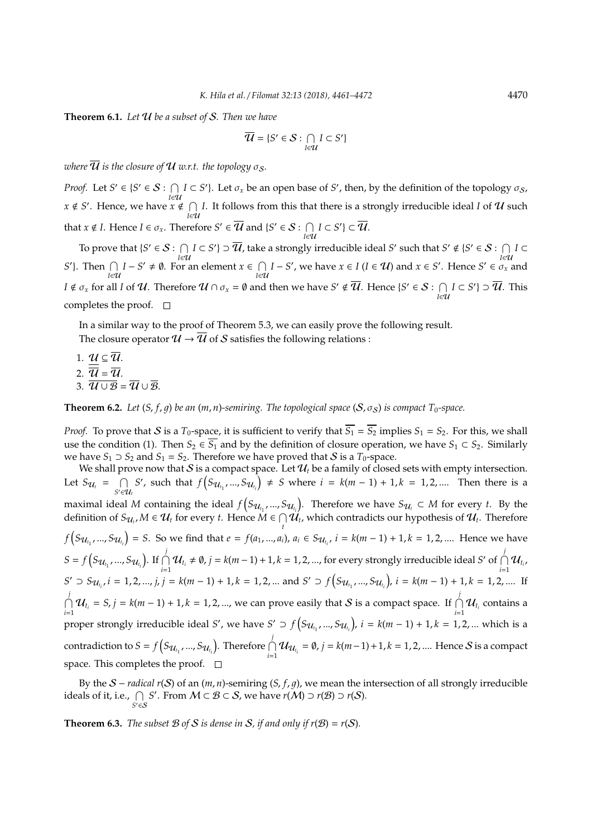**Theorem 6.1.** *Let* U *be a subset of* S*. Then we have*

$$
\overline{\mathcal{U}} = \{ S' \in \mathcal{S} : \bigcap_{I \in \mathcal{U}} I \subset S' \}
$$

*where*  $\overline{\mathcal{U}}$  *is the closure of*  $\mathcal{U}$  *w.r.t. the topology*  $\sigma_{\mathcal{S}}$ *.* 

*Proof.* Let  $S' \in \{S' \in S : \cap$ *I*<sub>I</sub><sup>*I*</sup> ⊂ *S*<sup> $'$ </sup>}. Let  $\sigma_x$  be an open base of *S*<sup> $'$ </sup>, then, by the definition of the topology  $\sigma_s$ ,  $x \notin S'$ . Hence, we have  $x \notin \bigcap$  $\bigcap$  *I*. It follows from this that there is a strongly irreducible ideal *I* of **U** such *I*∈**U** that  $x \notin I$ . Hence  $I \in \sigma_x$ . Therefore  $S' \in \overline{U}$  and  $\{S' \in \mathcal{S} : \bigcap I\}$  $\bigcap_{I \in \mathcal{U}} I \subset S'$ } ⊂  $\overline{\mathcal{U}}$ .

To prove that  $\{S' \in \mathcal{S} : \cap$ *I*<sub>∈</sub>U *I* ⊂ *S*'} ⊃  $\overline{u}$ , take a strongly irreducible ideal *S'* such that *S'* ∉ {*S'* ∈ *S* :  $\bigcap_{l \in \mathcal{U}}$  $\bigcap$ <sub>*I*∈U</sub> *I* ⊂ *S*<sup> $\prime$ </sup>). Then  $\bigcap_{I \in U} I - S' \neq \emptyset$ . For an element  $x \in \bigcap_{I \in U} I$  $\bigcap_{I \in \mathcal{U}} I - S'$ , we have  $x \in I$  ( $I \in \mathcal{U}$ ) and  $x \in S'$ . Hence  $S' \in \sigma_x$  and *I* ∉  $\sigma_x$  for all *I* of  $U$ . Therefore  $U \cap \sigma_x = \emptyset$  and then we have  $S' \notin \overline{U}$ . Hence  $\{S' \in \mathcal{S} : \ \bigcap$  $\bigcap_{I \in \mathcal{U}} I \subset S'$  ⊃  $\overline{\mathcal{U}}$ . This completes the proof.  $\square$ 

In a similar way to the proof of Theorem 5.3, we can easily prove the following result. The closure operator  $\mathcal{U} \rightarrow \overline{\mathcal{U}}$  of S satisfies the following relations :

1.  $\mathcal{U} \subseteq \overline{\mathcal{U}}$ . 2.  $\overline{\mathcal{U}} = \overline{\mathcal{U}}$ . 3.  $\overline{\mathcal{U}\cup\mathcal{B}} = \overline{\mathcal{U}}\cup\overline{\mathcal{B}}$ .

**Theorem 6.2.** *Let*  $(S, f, q)$  *be an*  $(m, n)$ *-semiring. The topological space*  $(S, \sigma_S)$  *is compact*  $T_0$ *-space.* 

*Proof.* To prove that S is a  $T_0$ -space, it is sufficient to verify that  $\overline{S_1} = \overline{S_2}$  implies  $S_1 = S_2$ . For this, we shall use the condition (1). Then  $S_2 \in \overline{S_1}$  and by the definition of closure operation, we have  $S_1 \subset S_2$ . Similarly we have *S*<sub>1</sub>  $\supset$  *S*<sub>2</sub> and *S*<sub>1</sub> = *S*<sub>2</sub>. Therefore we have proved that *S* is a *T*<sub>0</sub>-space.

We shall prove now that  $S$  is a compact space. Let  $\mathcal{U}_t$  be a family of closed sets with empty intersection. Let  $S_{\mathcal{U}_t} = \bigcap$ *S* <sup>0</sup>∈U*<sup>t</sup> S*<sup>*'*</sup>, such that  $f(S_{U_{t_1}},...,S_{U_{t_i}}) ≠ S$  where  $i = k(m-1) + 1, k = 1, 2, ....$  Then there is a maximal ideal *M* containing the ideal  $f(S_{\mathcal{U}_{t_1}},...,S_{\mathcal{U}_{t_i}})$ . Therefore we have  $S_{\mathcal{U}_t} \subset M$  for every *t*. By the definition of  $S_{\mathcal{U}_t}, M \in \mathcal{U}_t$  for every *t*. Hence  $M \in \bigcap$  $\bigcap\limits_t \mathcal{U}_t$ , which contradicts our hypothesis of  $\mathcal{U}_t$ . Therefore  $f(S_{\mathcal{U}_{t_1}},...,S_{\mathcal{U}_{t_i}})=S$ . So we find that  $e=f(a_1,...,a_i)$ ,  $a_i \in S_{\mathcal{U}_{t_i}}$ ,  $i=k(m-1)+1$ ,  $k=1,2,...$  Hence we have  $S = f(S_{\mathcal{U}_{t_1}}, ..., S_{\mathcal{U}_{t_i}})$ . If  $\bigcap_{i=1}^{j}$  $\bigcap_{i=1}^{j}$  **U**<sub>t<sub>*i*</sub> ≠ **0**, *j* = *k*(*m* − 1) + 1, *k* = 1, 2, ..., for every strongly irreducible ideal *S*<sup>*'*</sup> of  $\bigcap_{i=1}^{j}$ </sub>  $\bigcap_{i=1}^{\prime} \mathcal{U}_{t_i}$  $S' \supset S_{\mathcal{U}_{t_i}}, i = 1, 2, ..., j, j = k(m-1) + 1, k = 1, 2, ...$  and  $S' \supset f(S_{\mathcal{U}_{t_1}}, ..., S_{\mathcal{U}_{t_i}}), i = k(m-1) + 1, k = 1, 2, ...$  If  $\bigcap^j$  $\bigcap_{i=1}^{j} \mathcal{U}_{t_i} = S$ ,  $j = k(m-1) + 1$ ,  $k = 1, 2, ...$ , we can prove easily that S is a compact space. If  $\bigcap_{i=1}^{j}$  $\bigcap_{i=1}^{'} \mathcal{U}_{t_i}$  contains a proper strongly irreducible ideal *S'*, we have  $S' \supset f(S_{\mathcal{U}_{t_1}},...,S_{\mathcal{U}_{t_i}})$ ,  $i = k(m-1) + 1, k = 1, 2,...$  which is a contradiction to  $S = f(S_{\mathcal{U}_{t_1}}, ..., S_{\mathcal{U}_{t_i}})$ . Therefore  $\bigcap_{i=1}^j$  $\bigcap_{i=1}^{r} \mathcal{U}_{\mathcal{U}_{t_i}} = ∅, j = k(m-1) + 1, k = 1, 2, ....$  Hence *S* is a compact space. This completes the proof.  $\Box$ 

By the S − *radical r*(S) of an (*m*, *n*)-semiring (*S*, *f*, 1), we mean the intersection of all strongly irreducible ideals of it, i.e.,  $\bigcap_{S' \in \mathcal{S}} S'$ . From  $M \subset \mathcal{B} \subset \mathcal{S}$ , we have  $r(M) \supset r(\mathcal{B}) \supset r(\mathcal{S})$ .

**Theorem 6.3.** *The subset*  $\mathcal B$  *of*  $S$  *is dense in*  $S$ *, if and only if*  $r(\mathcal B) = r(S)$ *.*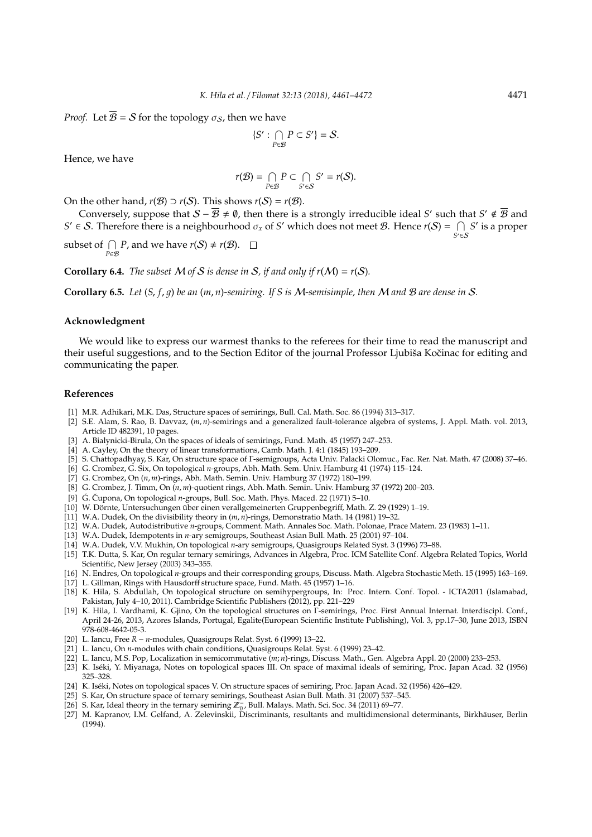*Proof.* Let  $\overline{B} = S$  for the topology  $\sigma_S$ , then we have

$$
\{S': \bigcap_{P\in\mathcal{B}} P\subset S'\}=\mathcal{S}.
$$

Hence, we have

$$
r(\mathcal{B}) = \bigcap_{P \in \mathcal{B}} P \subset \bigcap_{S' \in \mathcal{S}} S' = r(\mathcal{S}).
$$

On the other hand,  $r(B) \supset r(S)$ . This shows  $r(S) = r(B)$ .

Conversely, suppose that  $S - \overline{B} \neq \emptyset$ , then there is a strongly irreducible ideal *S'* such that  $S' \notin \overline{B}$  and  $S' \in S$ . Therefore there is a neighbourhood  $\sigma_x$  of *S'* which does not meet *B*. Hence  $r(S) = \bigcap_{S' \in S} S'$  is a proper

subset of  $\bigcap_{P \in \mathcal{B}} P$ , and we have  $r(S) \neq r(\mathcal{B})$ .

**Corollary 6.4.** *The subset*  $M$  *of*  $S$  *is dense in*  $S$ *, if and only if*  $r(M) = r(S)$ *.* 

**Corollary 6.5.** *Let* (*S*, *f*, 1) *be an* (*m*, *n*)*-semiring. If S is* M*-semisimple, then* M *and* B *are dense in* S*.*

## **Acknowledgment**

We would like to express our warmest thanks to the referees for their time to read the manuscript and their useful suggestions, and to the Section Editor of the journal Professor Ljubiša Kočinac for editing and communicating the paper.

## **References**

- [1] M.R. Adhikari, M.K. Das, Structure spaces of semirings, Bull. Cal. Math. Soc. 86 (1994) 313–317.
- [2] S.E. Alam, S. Rao, B. Davvaz, (*m*, *n*)-semirings and a generalized fault-tolerance algebra of systems, J. Appl. Math. vol. 2013, Article ID 482391, 10 pages.
- [3] A. Bialynicki-Birula, On the spaces of ideals of semirings, Fund. Math. 45 (1957) 247–253.
- [4] A. Cayley, On the theory of linear transformations, Camb. Math. J. 4:1 (1845) 193–209.
- [5] S. Chattopadhyay, S. Kar, On structure space of Γ-semigroups, Acta Univ. Palacki Olomuc., Fac. Rer. Nat. Math. 47 (2008) 37–46.
- [6] G. Crombez, G. Six, On topological *n*-groups, Abh. Math. Sem. Univ. Hamburg 41 (1974) 115–124.
- [7] G. Crombez, On (*n*, *m*)-rings, Abh. Math. Semin. Univ. Hamburg 37 (1972) 180–199.
- [8] G. Crombez, J. Timm, On (*n*, *m*)-quotient rings, Abh. Math. Semin. Univ. Hamburg 37 (1972) 200–203.
- [9] G. Čupona, On topological *n*-groups, Bull. Soc. Math. Phys. Maced. 22 (1971) 5-10.
- [10] W. Dörnte, Untersuchungen über einen verallgemeinerten Gruppenbegriff, Math. Z. 29 (1929) 1–19.
- [11] W.A. Dudek, On the divisibility theory in (*m*, *n*)-rings, Demonstratio Math. 14 (1981) 19–32.
- [12] W.A. Dudek, Autodistributive *n*-groups, Comment. Math. Annales Soc. Math. Polonae, Prace Matem. 23 (1983) 1–11.
- [13] W.A. Dudek, Idempotents in *n*-ary semigroups, Southeast Asian Bull. Math. 25 (2001) 97–104.
- [14] W.A. Dudek, V.V. Mukhin, On topological *n*-ary semigroups, Quasigroups Related Syst. 3 (1996) 73–88.
- [15] T.K. Dutta, S. Kar, On regular ternary semirings, Advances in Algebra, Proc. ICM Satellite Conf. Algebra Related Topics, World Scientific, New Jersey (2003) 343–355.
- [16] N. Endres, On topological *n*-groups and their corresponding groups, Discuss. Math. Algebra Stochastic Meth. 15 (1995) 163–169.
- [17] L. Gillman, Rings with Hausdorff structure space, Fund. Math. 45 (1957) 1–16.
- [18] K. Hila, S. Abdullah, On topological structure on semihypergroups, In: Proc. Intern. Conf. Topol. ICTA2011 (Islamabad, Pakistan, July 4–10, 2011). Cambridge Scientific Publishers (2012), pp. 221–229
- [19] K. Hila, I. Vardhami, K. Gjino, On the topological structures on Γ-semirings, Proc. First Annual Internat. Interdiscipl. Conf., April 24-26, 2013, Azores Islands, Portugal, Egalite(European Scientific Institute Publishing), Vol. 3, pp.17–30, June 2013, ISBN 978-608-4642-05-3.
- [20] L. Iancu, Free *R* − *n*-modules, Quasigroups Relat. Syst. 6 (1999) 13–22.
- [21] L. Iancu, On *n*-modules with chain conditions, Quasigroups Relat. Syst. 6 (1999) 23–42.
- [22] L. Iancu, M.S. Pop, Localization in semicommutative (*m*; *n*)-rings, Discuss. Math., Gen. Algebra Appl. 20 (2000) 233–253.
- [23] K. Iseki, Y. Miyanaga, Notes on topological spaces III. On space of maximal ideals of semiring, Proc. Japan Acad. 32 (1956) ´ 325–328.
- [24] K. Iséki, Notes on topological spaces V. On structure spaces of semiring, Proc. Japan Acad. 32 (1956) 426–429.
- [25] S. Kar, On structure space of ternary semirings, Southeast Asian Bull. Math. 31 (2007) 537–545.
- [26] S. Kar, Ideal theory in the ternary semiring  $\mathbb{Z}_{\mathbb{Q}}^{-}$ , Bull. Malays. Math. Sci. Soc. 34 (2011) 69–77.
- [27] M. Kapranov, I.M. Gelfand, A. Zelevinskii, Discriminants, resultants and multidimensional determinants, Birkhauser, Berlin ¨ (1994).

*S*